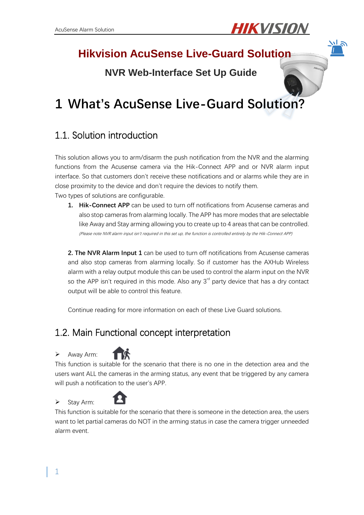

# **Hikvision AcuSense Live-Guard Solution**

# **NVR Web-Interface Set Up Guide**

# **1 What's AcuSense Live-Guard Solution?**

## 1.1. Solution introduction

This solution allows you to arm/disarm the push notification from the NVR and the alarming functions from the Acusense camera via the Hik-Connect APP and or NVR alarm input interface. So that customers don't receive these notifications and or alarms while they are in close proximity to the device and don't require the devices to notify them. Two types of solutions are configurable.

**1. Hik-Connect APP** can be used to turn off notifications from Acusense cameras and also stop cameras from alarming locally. The APP has more modes that are selectable like Away and Stay arming allowing you to create up to 4 areas that can be controlled. (Please note NVR alarm input isn't required in this set up, the function is controlled entirely by the Hik-Connect APP)

**2. The NVR Alarm Input 1** can be used to turn off notifications from Acusense cameras and also stop cameras from alarming locally. So if customer has the AXHub Wireless alarm with a relay output module this can be used to control the alarm input on the NVR so the APP isn't required in this mode. Also any  $3<sup>rd</sup>$  party device that has a dry contact output will be able to control this feature.

Continue reading for more information on each of these Live Guard solutions.

## 1.2. Main Functional concept interpretation

#### > Away Arm:



This function is suitable for the scenario that there is no one in the detection area and the users want ALL the cameras in the arming status, any event that be triggered by any camera will push a notification to the user's APP.

#### $\triangleright$  Stay Arm:



This function is suitable for the scenario that there is someone in the detection area, the users want to let partial cameras do NOT in the arming status in case the camera trigger unneeded alarm event.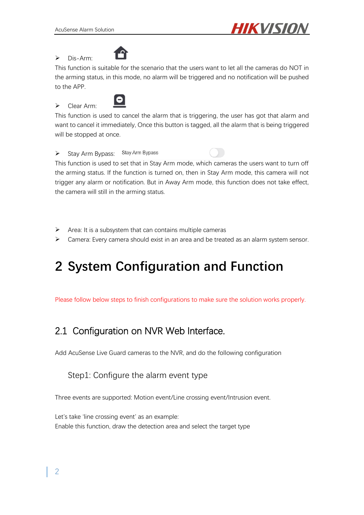

 $\triangleright$  Dis-Arm:



This function is suitable for the scenario that the users want to let all the cameras do NOT in the arming status, in this mode, no alarm will be triggered and no notification will be pushed to the APP.

### Clear Arm<sup>.</sup>



This function is used to cancel the alarm that is triggering, the user has got that alarm and want to cancel it immediately, Once this button is tagged, all the alarm that is being triggered will be stopped at once.

 $\triangleright$  Stay Arm Bypass: Stay Arm Bypass

This function is used to set that in Stay Arm mode, which cameras the users want to turn off the arming status. If the function is turned on, then in Stay Arm mode, this camera will not trigger any alarm or notification. But in Away Arm mode, this function does not take effect, the camera will still in the arming status.

- $\triangleright$  Area: It is a subsystem that can contains multiple cameras
- $\triangleright$  Camera: Every camera should exist in an area and be treated as an alarm system sensor.

# **2 System Configuration and Function**

Please follow below steps to finish configurations to make sure the solution works properly.

# 2.1 Configuration on NVR Web Interface.

Add AcuSense Live Guard cameras to the NVR, and do the following configuration

### Step1: Configure the alarm event type

Three events are supported: Motion event/Line crossing event/Intrusion event.

Let's take 'line crossing event' as an example: Enable this function, draw the detection area and select the target type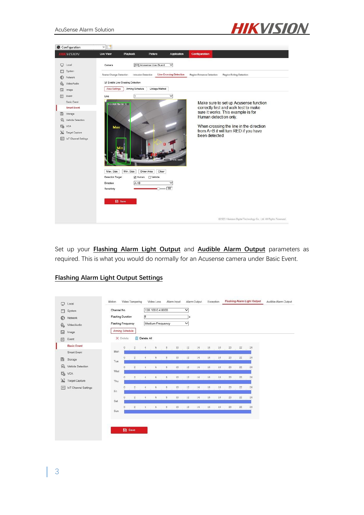



Set up your **Flashing Alarm Light Output** and **Audible Alarm Output** parameters as required. This is what you would do normally for an Acusense camera under Basic Event.

#### **Flashing Alarm Light Output Settings**

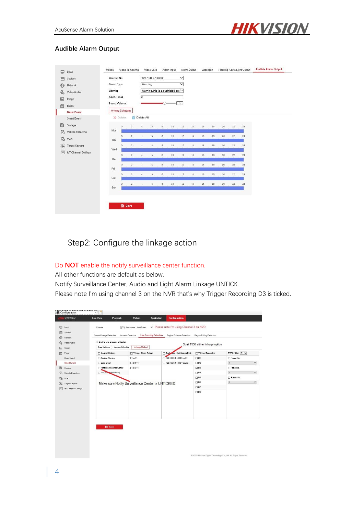

#### **Audible Alarm Output**

| m                       | System                 | Channel No.  |                                     |                         |                     | 128.100.0.4:8000<br>$\checkmark$<br>Warning<br>$\checkmark$ |                         |    |        |    |    |    |        |                 |    |  |
|-------------------------|------------------------|--------------|-------------------------------------|-------------------------|---------------------|-------------------------------------------------------------|-------------------------|----|--------|----|----|----|--------|-----------------|----|--|
| ⊕                       | Network                | Sound Type   |                                     |                         |                     |                                                             |                         |    |        |    |    |    |        |                 |    |  |
| $\varrho_{\rm o}$       | Warning<br>Video/Audio |              | Warning, this is a restricted are V |                         |                     |                                                             |                         |    |        |    |    |    |        |                 |    |  |
| $\overline{a}$<br>Image |                        |              | Alarm Times                         |                         | $\overline{2}$      |                                                             |                         |    |        |    |    |    |        |                 |    |  |
| 目                       | Event                  | Sound Volume |                                     |                         |                     |                                                             | $\sim$                  |    | $= 70$ |    |    |    |        |                 |    |  |
|                         | <b>Basic Event</b>     |              | Arming Schedule                     |                         |                     |                                                             |                         |    |        |    |    |    |        |                 |    |  |
|                         | Smart Event            |              | X Delete                            | 亩                       | Delete All          |                                                             |                         |    |        |    |    |    |        |                 |    |  |
| 圖                       | Storage                |              | $\mathbf{0}$                        | $\overline{2}$          | $\Lambda$           | 6                                                           | $\mathbf{a}$            | 10 | 12     | 14 | 16 | 18 | 20     | 22              | 24 |  |
| 品                       | Vehicle Detection      | Mon          |                                     |                         |                     |                                                             |                         |    |        |    |    |    |        |                 |    |  |
| $\mathcal{C}_0$         | VCA                    | Tue          | $\begin{array}{c} 0 \end{array}$    | $\overline{2}$          | 4                   | 6                                                           | 8                       | 10 | 12     | 14 | 16 | 18 | 20     | 22              | 24 |  |
| 漏                       | <b>Target Capture</b>  |              | $\theta$                            | 2                       | ×,                  | 6                                                           | $\rm 8$                 | 10 | 12     | 14 | 16 | 18 | 20     | 22              | 24 |  |
| $\sqrt{101}$            | loT Channel Settings   | Wed          |                                     |                         |                     |                                                             |                         |    |        |    |    |    |        |                 |    |  |
|                         |                        | Thu          | $\overline{0}$                      | $\overline{2}$          | 4                   | 6                                                           | $\rm ^8$                | 10 | 12     | 14 | 16 | 18 | $20\,$ | 22              | 24 |  |
|                         |                        |              | $\overline{0}$                      | $\overline{\mathbf{2}}$ | $\ddot{\textbf{a}}$ | $\ddot{6}$                                                  | $\overline{\mathbf{8}}$ | 10 | 12     | 14 | 16 | 18 | 20     | $\overline{22}$ | 24 |  |
|                         |                        | Fri          | $\Omega$                            | $\bar{2}$               | $\ddot{\textbf{z}}$ | 6                                                           | $\circ$                 | 10 | 12     | 14 | 16 | 18 | 20     | 22              | 24 |  |
|                         |                        | Sat          |                                     |                         |                     |                                                             |                         |    |        |    |    |    |        |                 |    |  |
|                         |                        | Sun          | $\Omega$                            | $\mathbf{2}$            | $\Delta$            | 6                                                           | 8                       | 10 | 12     | 14 | 16 | 18 | 20     | 22              | 24 |  |
|                         |                        |              |                                     |                         |                     |                                                             |                         |    |        |    |    |    |        |                 |    |  |

Step2: Configure the linkage action

#### Do **NOT** enable the notify surveillance center function.

All other functions are default as below.

Notify Surveillance Center, Audio and Light Alarm Linkage UNTICK.

Please note I'm using channel 3 on the NVR that's why Trigger Recording D3 is ticked.

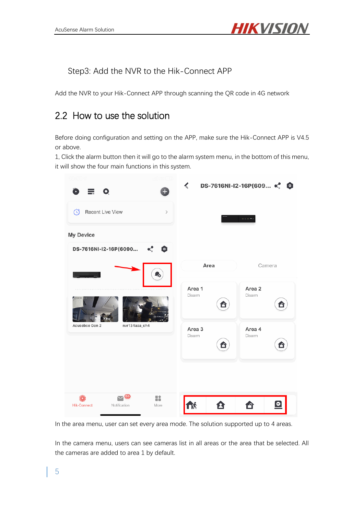

Step3: Add the NVR to the Hik-Connect APP

Add the NVR to your Hik-Connect APP through scanning the QR code in 4G network

### 2.2 How to use the solution

Before doing configuration and setting on the APP, make sure the Hik-Connect APP is V4.5 or above.

1, Click the alarm button then it will go to the alarm system menu, in the bottom of this menu, it will show the four main functions in this system.



In the area menu, user can set every area mode. The solution supported up to 4 areas.

In the camera menu, users can see cameras list in all areas or the area that be selected. All the cameras are added to area 1 by default.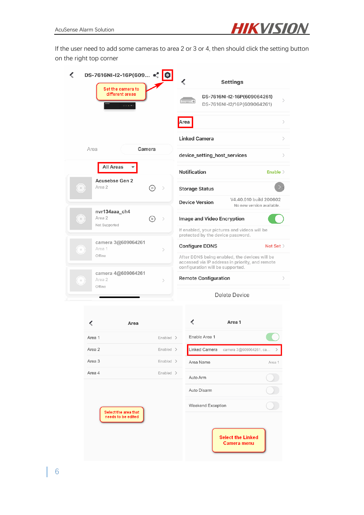

If the user need to add some cameras to area 2 or 3 or 4, then should click the setting button on the right top corner

| DS-7616NI-I2-16P(609 «.<br>Set the camera to         | $\bullet$                         | <b>Settings</b>                                                                                                                      |                                                                             |  |
|------------------------------------------------------|-----------------------------------|--------------------------------------------------------------------------------------------------------------------------------------|-----------------------------------------------------------------------------|--|
| different areas                                      |                                   |                                                                                                                                      | DS-7616NI-I2-16P(609064261)<br>$\mathcal{P}$<br>DS-7616NI-I2/16P(609064261) |  |
|                                                      |                                   | Area                                                                                                                                 | $\left\langle \right\rangle$                                                |  |
|                                                      |                                   | <b>Linked Camera</b>                                                                                                                 | $\left\langle \right\rangle$                                                |  |
| Area                                                 | Camera                            | device_setting_host_services                                                                                                         | $\left\langle \right\rangle$                                                |  |
| All Areas                                            |                                   | Notification                                                                                                                         | Enable $>$                                                                  |  |
| Acusebse Gen 2<br>Area 2<br>$\left( \cdot \right)$   | $\mathbb{D}$<br>$\rightarrow$     | <b>Storage Status</b>                                                                                                                |                                                                             |  |
|                                                      |                                   | <b>Device Version</b>                                                                                                                | V4.40.010 build 200602<br>No new version available.                         |  |
| nvr134aaa ch4<br>Area 2<br>$\alpha$<br>Not Supported | $\triangleright$<br>$\rightarrow$ | Image and Video Encryption                                                                                                           |                                                                             |  |
|                                                      |                                   | If enabled, your pictures and videos will be<br>protected by the device password.                                                    |                                                                             |  |
| camera 3@609064261<br>Area 1<br>- 6                  | $\mathcal{P}$                     | <b>Configure DDNS</b>                                                                                                                | Not Set $>$                                                                 |  |
| Offline                                              |                                   | After DDNS being enabled, the devices will be<br>accessed via IP address in priority, and remote<br>configuration will be supported. |                                                                             |  |
| camera 4@609064261<br>Area 2<br>$\alpha$<br>Offline  | $\left\langle \right\rangle$      | <b>Remote Configuration</b>                                                                                                          | $\left\langle \right\rangle$                                                |  |
|                                                      |                                   |                                                                                                                                      | Delete Device                                                               |  |
|                                                      |                                   |                                                                                                                                      |                                                                             |  |
| Area                                                 |                                   | ∢                                                                                                                                    | Area 1                                                                      |  |

|        | Area           |  |
|--------|----------------|--|
| Area 1 | $Enabled$ >    |  |
| Area 2 | $Enable$ d $>$ |  |
| Area 3 | $Enable$ d >   |  |
| Area 4 | $Enabled$ >    |  |

Select the area that<br>needs to be edited

| Area 1                                  |        |
|-----------------------------------------|--------|
| Enable Area 1                           |        |
| Linked Camera camera 3@609064261, ca    | ゝ      |
| Area Name                               | Area 1 |
| Auto Arm                                |        |
| Auto Disarm                             |        |
| Weekend Exception                       |        |
| <b>Select the Linked</b><br>Camera menu |        |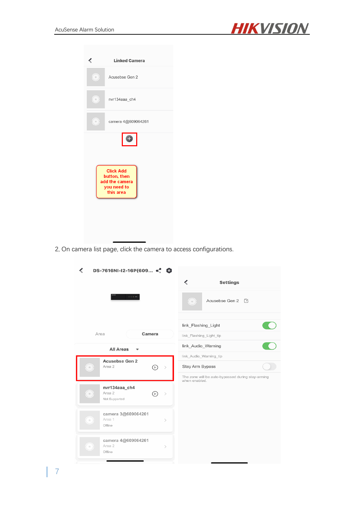

| <b>Linked Camera</b><br>⋖                                                      |                    |  |  |  |  |
|--------------------------------------------------------------------------------|--------------------|--|--|--|--|
| $(\cdot)$<br>Acusebse Gen 2                                                    |                    |  |  |  |  |
| ( ∘)<br>nvr134aaa ch4                                                          |                    |  |  |  |  |
| $(\,\circ\,)$                                                                  | camera 4@609064261 |  |  |  |  |
| <b>Click Add</b><br>button, then<br>add the camera<br>you need to<br>this area |                    |  |  |  |  |

2, On camera list page, click the camera to access configurations.

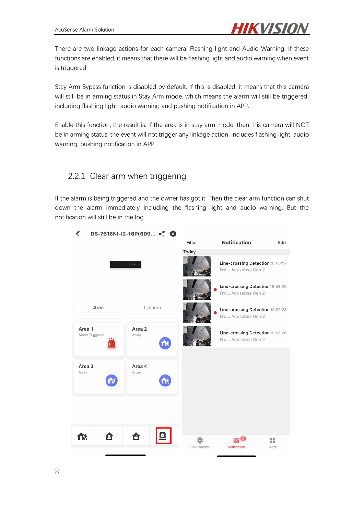

There are two linkage actions for each camera: Flashing light and Audio Warning. If these functions are enabled, it means that there will be flashing light and audio warning when event is triggered.

Stay Arm Bypass function is disabled by default. If this is disabled, it means that this camera will still be in arming status in Stay Arm mode, which means the alarm will still be triggered, including flashing light, audio warning and pushing notification in APP.

Enable this function, the result is: if the area is in stay arm mode, then this camera will NOT be in arming status, the event will not trigger any linkage action, includes flashing light, audio warning, pushing notification in APP.

### 2.2.1 Clear arm when triggering

If the alarm is being triggered and the owner has got it. Then the clear arm function can shut down the alarm immediately including the flashing light and audio warning. But the notification will still be in the log.

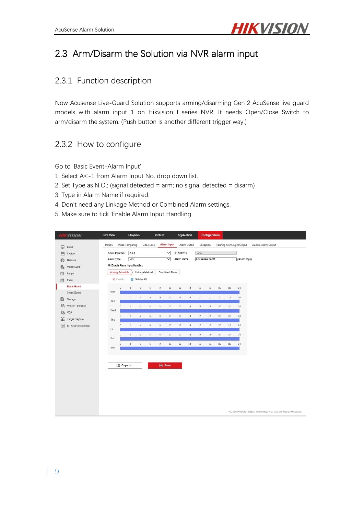

# 2.3 Arm/Disarm the Solution via NVR alarm input

### 2.3.1 Function description

Now Acusense Live-Guard Solution supports arming/disarming Gen 2 AcuSense live guard models with alarm input 1 on Hikvision I series NVR. It needs Open/Close Switch to arm/disarm the system. (Push button is another different trigger way.)

### 2.3.2 How to configure

Go to 'Basic Event-Alarm Input'

- 1, Select A<-1 from Alarm Input No. drop down list.
- 2, Set Type as N.O.; (signal detected = arm; no signal detected = disarm)
- 3, Type in Alarm Name if required.
- 4, Don't need any Linkage Method or Combined Alarm settings.
- 5. Make sure to tick 'Enable Alarm Input Handling'